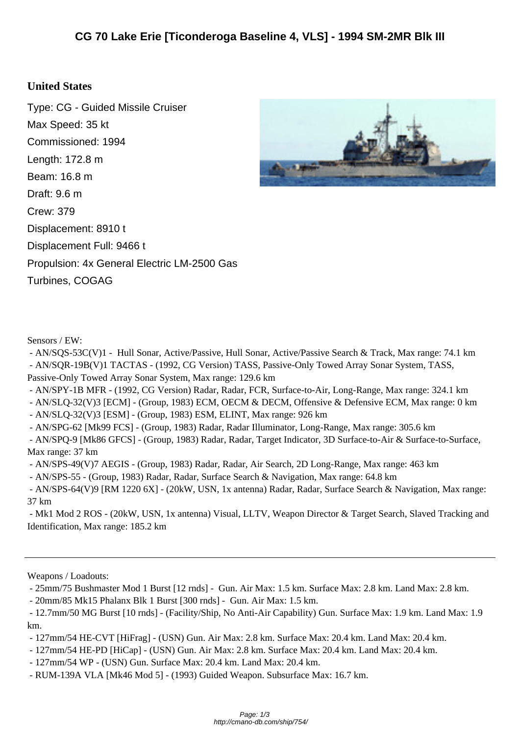## **United St[ates](http://cmano-db.com/ship/754/)**

Type: CG - Guided Missile Cruiser Max Speed: 35 kt Commissioned: 1994 Length: 172.8 m Beam: 16.8 m Draft: 9.6 m Crew: 379 Displacement: 8910 t Displacement Full: 9466 t Propulsion: 4x General Electric LM-2500 Gas Turbines, COGAG



Sensors / EW:

 - AN/SQS-53C(V)1 - Hull Sonar, Active/Passive, Hull Sonar, Active/Passive Search & Track, Max range: 74.1 km - AN/SQR-19B(V)1 TACTAS - (1992, CG Version) TASS, Passive-Only Towed Array Sonar System, TASS, Passive-Only Towed Array Sonar System, Max range: 129.6 km

- AN/SPY-1B MFR - (1992, CG Version) Radar, Radar, FCR, Surface-to-Air, Long-Range, Max range: 324.1 km

- AN/SLQ-32(V)3 [ECM] - (Group, 1983) ECM, OECM & DECM, Offensive & Defensive ECM, Max range: 0 km

- AN/SLQ-32(V)3 [ESM] - (Group, 1983) ESM, ELINT, Max range: 926 km

- AN/SPG-62 [Mk99 FCS] - (Group, 1983) Radar, Radar Illuminator, Long-Range, Max range: 305.6 km

 - AN/SPQ-9 [Mk86 GFCS] - (Group, 1983) Radar, Radar, Target Indicator, 3D Surface-to-Air & Surface-to-Surface, Max range: 37 km

- AN/SPS-49(V)7 AEGIS - (Group, 1983) Radar, Radar, Air Search, 2D Long-Range, Max range: 463 km

- AN/SPS-55 - (Group, 1983) Radar, Radar, Surface Search & Navigation, Max range: 64.8 km

 - AN/SPS-64(V)9 [RM 1220 6X] - (20kW, USN, 1x antenna) Radar, Radar, Surface Search & Navigation, Max range: 37 km

 - Mk1 Mod 2 ROS - (20kW, USN, 1x antenna) Visual, LLTV, Weapon Director & Target Search, Slaved Tracking and Identification, Max range: 185.2 km

Weapons / Loadouts:

- 25mm/75 Bushmaster Mod 1 Burst [12 rnds] - Gun. Air Max: 1.5 km. Surface Max: 2.8 km. Land Max: 2.8 km.

- 20mm/85 Mk15 Phalanx Blk 1 Burst [300 rnds] - Gun. Air Max: 1.5 km.

 - 12.7mm/50 MG Burst [10 rnds] - (Facility/Ship, No Anti-Air Capability) Gun. Surface Max: 1.9 km. Land Max: 1.9 km.

- 127mm/54 HE-CVT [HiFrag] - (USN) Gun. Air Max: 2.8 km. Surface Max: 20.4 km. Land Max: 20.4 km.

- 127mm/54 HE-PD [HiCap] - (USN) Gun. Air Max: 2.8 km. Surface Max: 20.4 km. Land Max: 20.4 km.

- 127mm/54 WP - (USN) Gun. Surface Max: 20.4 km. Land Max: 20.4 km.

- RUM-139A VLA [Mk46 Mod 5] - (1993) Guided Weapon. Subsurface Max: 16.7 km.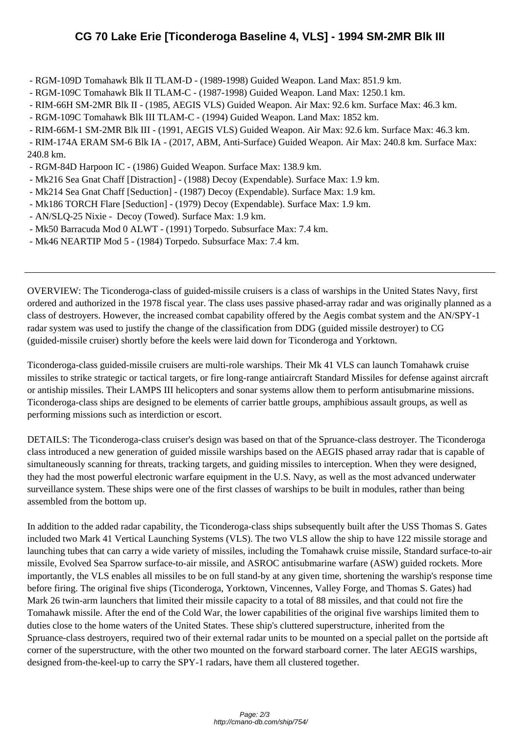- RGM-109[D Tomahawk Blk II TLAM-D \(1989-1998\) Guided Weapon. Land Max: 851.9 km.](http://cmano-db.com/ship/754/)
- RGM-109C Tomahawk Blk II TLAM-C (1987-1998) Guided Weapon. Land Max: 1250.1 km.
- RIM-66H SM-2MR Blk II (1985, AEGIS VLS) Guided Weapon. Air Max: 92.6 km. Surface Max: 46.3 km.
- RGM-109C Tomahawk Blk III TLAM-C (1994) Guided Weapon. Land Max: 1852 km.
- RIM-66M-1 SM-2MR Blk III (1991, AEGIS VLS) Guided Weapon. Air Max: 92.6 km. Surface Max: 46.3 km.
- RIM-174A ERAM SM-6 Blk IA (2017, ABM, Anti-Surface) Guided Weapon. Air Max: 240.8 km. Surface Max: 240.8 km.
- RGM-84D Harpoon IC (1986) Guided Weapon. Surface Max: 138.9 km.
- Mk216 Sea Gnat Chaff [Distraction] (1988) Decoy (Expendable). Surface Max: 1.9 km.
- Mk214 Sea Gnat Chaff [Seduction] (1987) Decoy (Expendable). Surface Max: 1.9 km.
- Mk186 TORCH Flare [Seduction] (1979) Decoy (Expendable). Surface Max: 1.9 km.
- AN/SLQ-25 Nixie Decoy (Towed). Surface Max: 1.9 km.
- Mk50 Barracuda Mod 0 ALWT (1991) Torpedo. Subsurface Max: 7.4 km.
- Mk46 NEARTIP Mod 5 (1984) Torpedo. Subsurface Max: 7.4 km.

OVERVIEW: The Ticonderoga-class of guided-missile cruisers is a class of warships in the United States Navy, first ordered and authorized in the 1978 fiscal year. The class uses passive phased-array radar and was originally planned as a class of destroyers. However, the increased combat capability offered by the Aegis combat system and the AN/SPY-1 radar system was used to justify the change of the classification from DDG (guided missile destroyer) to CG (guided-missile cruiser) shortly before the keels were laid down for Ticonderoga and Yorktown.

Ticonderoga-class guided-missile cruisers are multi-role warships. Their Mk 41 VLS can launch Tomahawk cruise missiles to strike strategic or tactical targets, or fire long-range antiaircraft Standard Missiles for defense against aircraft or antiship missiles. Their LAMPS III helicopters and sonar systems allow them to perform antisubmarine missions. Ticonderoga-class ships are designed to be elements of carrier battle groups, amphibious assault groups, as well as performing missions such as interdiction or escort.

DETAILS: The Ticonderoga-class cruiser's design was based on that of the Spruance-class destroyer. The Ticonderoga class introduced a new generation of guided missile warships based on the AEGIS phased array radar that is capable of simultaneously scanning for threats, tracking targets, and guiding missiles to interception. When they were designed, they had the most powerful electronic warfare equipment in the U.S. Navy, as well as the most advanced underwater surveillance system. These ships were one of the first classes of warships to be built in modules, rather than being assembled from the bottom up.

In addition to the added radar capability, the Ticonderoga-class ships subsequently built after the USS Thomas S. Gates included two Mark 41 Vertical Launching Systems (VLS). The two VLS allow the ship to have 122 missile storage and launching tubes that can carry a wide variety of missiles, including the Tomahawk cruise missile, Standard surface-to-air missile, Evolved Sea Sparrow surface-to-air missile, and ASROC antisubmarine warfare (ASW) guided rockets. More importantly, the VLS enables all missiles to be on full stand-by at any given time, shortening the warship's response time before firing. The original five ships (Ticonderoga, Yorktown, Vincennes, Valley Forge, and Thomas S. Gates) had Mark 26 twin-arm launchers that limited their missile capacity to a total of 88 missiles, and that could not fire the Tomahawk missile. After the end of the Cold War, the lower capabilities of the original five warships limited them to duties close to the home waters of the United States. These ship's cluttered superstructure, inherited from the Spruance-class destroyers, required two of their external radar units to be mounted on a special pallet on the portside aft corner of the superstructure, with the other two mounted on the forward starboard corner. The later AEGIS warships, designed from-the-keel-up to carry the SPY-1 radars, have them all clustered together.